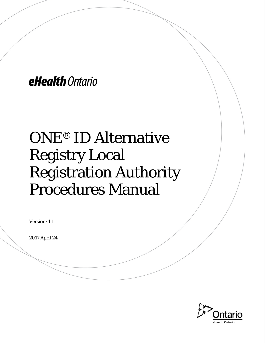eHealth Ontario

# ONE® ID Alternative Registry Local Registration Authority Procedures Manual

Version: 1.1

2017 April 24

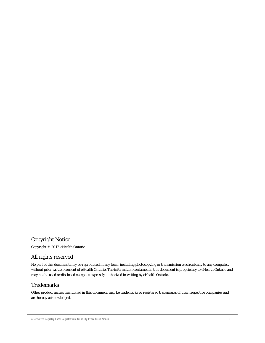#### Copyright Notice

Copyright © 2017, eHealth Ontario

#### All rights reserved

No part of this document may be reproduced in any form, including photocopying or transmission electronically to any computer, without prior written consent of eHealth Ontario. The information contained in this document is proprietary to eHealth Ontario and may not be used or disclosed except as expressly authorized in writing by eHealth Ontario.

#### Trademarks

Other product names mentioned in this document may be trademarks or registered trademarks of their respective companies and are hereby acknowledged.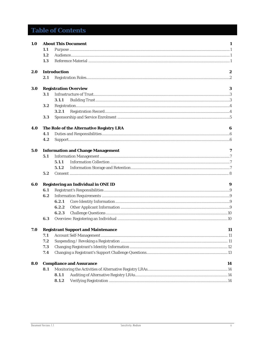## **Table of Contents**

| 1.0 | <b>About This Document</b><br>1                 |                                          |    |  |  |
|-----|-------------------------------------------------|------------------------------------------|----|--|--|
|     | 1.1                                             |                                          |    |  |  |
|     | 1.2                                             |                                          |    |  |  |
|     | 1.3                                             |                                          |    |  |  |
| 2.0 |                                                 | <b>Introduction</b>                      |    |  |  |
|     | 2.1                                             |                                          |    |  |  |
| 3.0 |                                                 | <b>Registration Overview</b>             | 3  |  |  |
|     | 3.1                                             |                                          |    |  |  |
|     |                                                 | 3.1.1                                    |    |  |  |
|     | 3.2                                             |                                          |    |  |  |
|     |                                                 | 3.2.1                                    |    |  |  |
|     | 3.3                                             |                                          |    |  |  |
| 4.0 |                                                 | The Role of the Alternative Registry LRA | 6  |  |  |
|     | 4.1                                             |                                          |    |  |  |
|     | 4.2                                             |                                          |    |  |  |
| 5.0 |                                                 | <b>Information and Change Management</b> | 7  |  |  |
|     | 5.1                                             |                                          |    |  |  |
|     |                                                 | 5.1.1                                    |    |  |  |
|     |                                                 | 5.1.2                                    |    |  |  |
|     | 5.2                                             |                                          |    |  |  |
| 6.0 |                                                 | Registering an Individual in ONE ID<br>9 |    |  |  |
|     | 6.1                                             |                                          |    |  |  |
|     | 6.2                                             |                                          |    |  |  |
|     |                                                 | 6.2.1                                    |    |  |  |
|     |                                                 | 6.2.2                                    |    |  |  |
|     |                                                 | 6.2.3                                    |    |  |  |
|     | 6.3                                             |                                          |    |  |  |
| 7.0 | <b>Registrant Support and Maintenance</b><br>11 |                                          |    |  |  |
|     | 7.1                                             |                                          |    |  |  |
|     | 7.2                                             |                                          |    |  |  |
|     | 7.3                                             |                                          |    |  |  |
|     | 7.4                                             |                                          |    |  |  |
| 8.0 |                                                 | <b>Compliance and Assurance</b>          | 14 |  |  |
|     | 8.1                                             |                                          |    |  |  |
|     |                                                 | 8.1.1                                    |    |  |  |
|     |                                                 | 8.1.2                                    |    |  |  |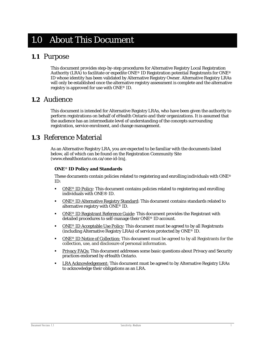## <span id="page-3-0"></span>1.0 About This Document

### <span id="page-3-1"></span>**1.1** Purpose

This document provides step-by-step procedures for Alternative Registry Local Registration Authority (LRA) to facilitate or expedite ONE® ID Registration potential Registrants for ONE® ID whose identity has been validated by Alternative Registry Owner. Alternative Registry LRAs will only be established once the alternative registry assessment is complete and the alternative registry is approved for use with ONE® ID.

### <span id="page-3-2"></span>**1.2** Audience

This document is intended for Alternative Registry LRAs, who have been given the authority to perform registrations on behalf of eHealth Ontario and their organizations. It is assumed that the audience has an intermediate level of understanding of the concepts surrounding registration, service enrolment, and change management.

## <span id="page-3-3"></span>**1.3** Reference Material

As an Alternative Registry LRA, you are expected to be familiar with the documents listed below, all of which can be found on the Registration Community Site (www.ehealthontario.on.ca/one-id-lra).

#### **ONE**® **ID Policy and Standards**

These documents contain policies related to registering and enrolling individuals with ONE® ID:

- ONE® [ID Policy:](http://www.ehealthontario.on.ca/images/uploads/support/one-id/one_id_policy.pdf) This document contains policies related to registering and enrolling individuals with ONE® ID.
- **ONE® [ID Alternative Registry Standard:](http://www.ehealthontario.on.ca/images/uploads/support/one-id/one_id_alternative_registry_standard.pdf) This document contains standards related to** alternative registry with ONE® ID.
- **ONE® [ID Registrant Reference Guide:](https://www.ehealthontario.on.ca/images/uploads/support/one-id/one_id_registrant_reference_guide.pdf)** This document provides the Registrant with detailed procedures to self-manage their ONE® ID account.
- ONE® [ID Acceptable Use Policy:](http://www.ehealthontario.on.ca/images/uploads/support/one-id/one_id_acceptable_use_policy.pdf) This document must be agreed to by all Registrants (including Alternative Registry LRAs) of services protected by ONE® ID.
- ONE® ID Notice of Collection: This document [must be agreed to by all Registrants for the](http://www.ehealthontario.on.ca/images/uploads/support/one-id/notice_of_collection.pdf)  [collection, use, and disclosure of personal information.](http://www.ehealthontario.on.ca/images/uploads/support/one-id/notice_of_collection.pdf)
- **[Privacy FAQs:](https://www.ehealthontario.on.ca/images/uploads/support/one-id/privacy_faqs_lra.pdf)** This document addresses some basic questions about Privacy and Security practices endorsed by eHealth Ontario.
- [LRA Acknowledgement:](https://www.ehealthontario.on.ca/images/uploads/support/one-id/lra_acknowledgement.pdf) This document must be agreed to by Alternative Registry LRAs to acknowledge their obligations as an LRA.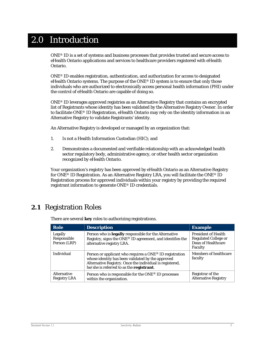## <span id="page-4-0"></span>2.0 Introduction

ONE® ID is a set of systems and business processes that provides trusted and secure access to eHealth Ontario applications and services to healthcare providers registered with eHealth Ontario.

ONE® ID enables registration, authentication, and authorization for access to designated eHealth Ontario systems. The purpose of the ONE® ID system is to ensure that only those individuals who are authorized to electronically access personal health information (PHI) under the control of eHealth Ontario are capable of doing so.

ONE® ID leverages approved registries as an Alternative Registry that contains an encrypted list of Registrants whose identity has been validated by the Alternative Registry Owner. In order to facilitate ONE® ID Registration, eHealth Ontario may rely on the identity information in an Alternative Registry to validate Registrants' identity.

An Alternative Registry is developed or managed by an organization that:

- 1. Is not a Health Information Custodian (HIC); and
- 2. Demonstrates a documented and verifiable relationship with an acknowledged health sector regulatory body, administrative agency, or other health sector organization recognized by eHealth Ontario.

Your organization's registry has been approved by eHealth Ontario as an Alternative Registry for ONE® ID Registration. As an Alternative Registry LRA, you will facilitate the ONE® ID Registration process for approved individuals within your registry by providing the required registrant information to generate ONE® ID credentials.

## <span id="page-4-1"></span>**2.1** Registration Roles

| Role                                      | <b>Description</b>                                                                                                                                                                                                   | <b>Example</b>                                                                             |
|-------------------------------------------|----------------------------------------------------------------------------------------------------------------------------------------------------------------------------------------------------------------------|--------------------------------------------------------------------------------------------|
| Legally<br>Responsible<br>Person (LRP)    | Person who is <b>legally</b> responsible for the Alternative<br>Registry, signs the ONE® ID agreement, and identifies the<br>alternative registry LRA.                                                               | <b>President of Health</b><br><b>Regulated College or</b><br>Dean of Healthcare<br>Faculty |
| <b>Individual</b>                         | Person or applicant who requires a ONE® ID registration<br>whose identity has been validated by the approved<br>Alternative Registry. Once the individual is registered,<br>he/she is referred to as the registrant. | <b>Members of healthcare</b><br>faculty                                                    |
| <b>Alternative</b><br><b>Registry LRA</b> | Person who is responsible for the ONE® ID processes<br>within the organization.                                                                                                                                      | Registrar of the<br><b>Alternative Registry</b>                                            |

There are several **key** roles to authorizing registrations.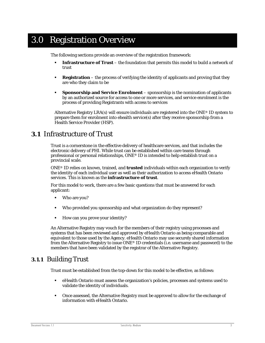## <span id="page-5-0"></span>3.0 Registration Overview

The following sections provide an overview of the registration framework:

- **Infrastructure of Trust** the foundation that permits this model to build a network of trust
- **Registration** the process of verifying the identity of applicants and proving that they are who they claim to be
- **Sponsorship and Service Enrolment** sponsorship is the nomination of applicants by an authorized source for access to one or more services, and service enrolment is the process of providing Registrants with access to services

Alternative Registry LRA(s) will ensure individuals are registered into the ONE<sup>®</sup> ID system to prepare them for enrolment into ehealth service(s) after they receive sponsorship from a Health Service Provider (HSP).

### <span id="page-5-1"></span>**3.1** Infrastructure of Trust

Trust is a cornerstone in the effective delivery of healthcare services, and that includes the electronic delivery of PHI. While trust can be established within care teams through professional or personal relationships, ONE® ID is intended to help establish trust on a provincial scale.

ONE® ID relies on known, trained, and **trusted** individuals within each organization to verify the identity of each individual user as well as their authorization to access eHealth Ontario services. This is known as the **infrastructure of trust**.

For this model to work, there are a few basic questions that must be answered for each applicant:

- Who are you?
- Who provided you sponsorship and what organization do they represent?
- How can you prove your identity?

An Alternative Registry may vouch for the members of their registry using processes and systems that has been reviewed and approved by eHealth Ontario as being comparable and equivalent to those used by the Agency. eHealth Ontario may use securely shared information from the Alternative Registry to issue ONE® ID credentials (i.e. username and password) to the members that have been validated by the registrar of the Alternative Registry.

#### <span id="page-5-2"></span>**3.1.1** Building Trust

Trust must be established from the top-down for this model to be effective, as follows:

- eHealth Ontario must assess the organization's policies, processes and systems used to validate the identity of individuals.
- Once assessed, the Alternative Registry must be approved to allow for the exchange of information with eHealth Ontario.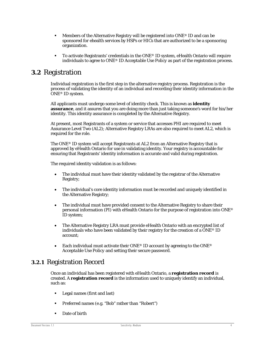- **Members of the Alternative Registry will be registered into ONE® ID and can be** sponsored for ehealth services by HSPs or HICs that are authorized to be a sponsoring organization.
- $\blacksquare$  To activate Registrants' credentials in the ONE® ID system, eHealth Ontario will require individuals to agree to *ONE*® *ID Acceptable Use Policy* as part of the registration process.

#### <span id="page-6-0"></span>**3.2** Registration

Individual registration is the first step in the alternative registry process. Registration is the process of validating the identity of an individual and recording their identity information in the ONE® ID system.

All applicants must undergo some level of identity check. This is known as **identity assurance**, and it assures that you are doing more than just taking someone's word for his/her identity. This identity assurance is completed by the Alternative Registry.

At present, most Registrants of a system or service that accesses PHI are required to meet Assurance Level Two (AL2); Alternative Registry LRAs are also required to meet AL2, which is required for the role.

The ONE® ID system will accept Registrants at AL2 from an Alternative Registry that is approved by eHealth Ontario for use in validating identity. Your registry is accountable for ensuring that Registrants' identity information is accurate and valid during registration.

The required identity validation is as follows:

- The individual must have their identity validated by the registrar of the Alternative Registry;
- The individual's core identity information must be recorded and uniquely identified in the Alternative Registry;
- The individual must have provided consent to the Alternative Registry to share their personal information (PI) with eHealth Ontario for the purpose of registration into ONE® ID system;
- The Alternative Registry LRA must provide eHealth Ontario with an encrypted list of individuals who have been validated by their registry for the creation of a ONE® ID account;
- Each individual must activate their ONE® ID account by agreeing to the *ONE*® *Acceptable Use Policy* and setting their secure password.

#### <span id="page-6-1"></span>**3.2.1** Registration Record

Once an individual has been registered with eHealth Ontario, a **registration record** is created. A **registration record** is the information used to uniquely identify an individual, such as:

- **Legal names (first and last)**
- Preferred names (e.g. "Bob" rather than "Robert")
- **Date of birth**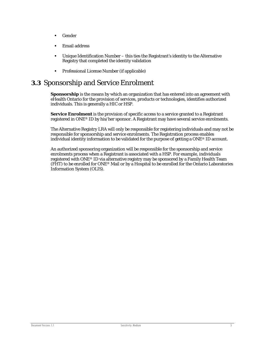- Gender
- Email address
- Unique Identification Number this ties the Registrant's identity to the Alternative Registry that completed the identity validation
- Professional License Number (if applicable)

## <span id="page-7-0"></span>**3.3** Sponsorship and Service Enrolment

**Sponsorship** is the means by which an organization that has entered into an agreement with eHealth Ontario for the provision of services, products or technologies, identifies authorized individuals. This is generally a HIC or HSP.

**Service Enrolment** is the provision of specific access to a service granted to a Registrant registered in ONE® ID by his/her sponsor. A Registrant may have several service enrolments.

The Alternative Registry LRA will only be responsible for registering individuals and may not be responsible for sponsorship and service enrolments. The Registration process enables individual identity information to be validated for the purpose of getting a ONE® ID account.

An authorized sponsoring organization will be responsible for the sponsorship and service enrolments process when a Registrant is associated with a HSP. For example, individuals registered with ONE® ID via alternative registry may be sponsored by a Family Health Team (FHT) to be enrolled for  $\text{ONE}^{\circledast}$  Mail or by a Hospital to be enrolled for the Ontario Laboratories Information System (OLIS).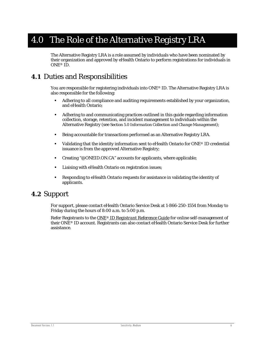## <span id="page-8-0"></span>4.0 The Role of the Alternative Registry LRA

The Alternative Registry LRA is a role assumed by individuals who have been nominated by their organization and approved by eHealth Ontario to perform registrations for individuals in ONE® ID.

## <span id="page-8-1"></span>**4.1** Duties and Responsibilities

You are responsible for registering individuals into ONE® ID. The Alternative Registry LRA is also responsible for the following:

- Adhering to all compliance and auditing requirements established by your organization, and eHealth Ontario;
- Adhering to and communicating practices outlined in this guide regarding information collection, storage, retention, and incident management to individuals within the Alternative Registry (see *Section [5.0](#page-9-0) Information Collection and Change Management*);
- Being accountable for transactions performed as an Alternative Registry LRA.
- Validating that the identity information sent to eHealth Ontario for ONE® ID credential issuance is from the approved Alternative Registry;
- Creating "@ONEID.ON.CA" accounts for applicants, where applicable;
- Liaising with eHealth Ontario on registration issues;
- Responding to eHealth Ontario requests for assistance in validating the identity of applicants.

#### <span id="page-8-2"></span>**4.2** Support

For support, please contact eHealth Ontario Service Desk at 1-866-250-1554 from Monday to Friday during the hours of 8:00 a.m. to 5:00 p.m.

Refer Registrants to the *ONE*® *[ID Registrant Reference Guide](https://www.ehealthontario.on.ca/images/uploads/support/one-id/one_id_registrant_reference_guide.pdf)* for online self-management of their ONE® ID account. Registrants can also contact eHealth Ontario Service Desk for further assistance.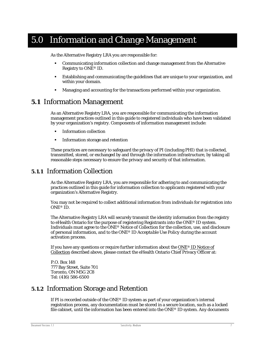## <span id="page-9-0"></span>5.0 Information and Change Management

As the Alternative Registry LRA you are responsible for:

- Communicating information collection and change management from the Alternative Registry to ONE® ID.
- Establishing and communicating the guidelines that are unique to your organization, and within your domain.
- Managing and accounting for the transactions performed within your organization.

### <span id="page-9-1"></span>**5.1** Information Management

As an Alternative Registry LRA, you are responsible for communicating the information management practices outlined in this guide to registered individuals who have been validated by your organization's registry. Components of information management include:

- **Information collection**
- **Information storage and retention**

These practices are necessary to safeguard the privacy of PI (including PHI) that is collected, transmitted, stored, or exchanged by and through the information infrastructure, by taking all reasonable steps necessary to ensure the privacy and security of that information.

#### <span id="page-9-2"></span>**5.1.1** Information Collection

As the Alternative Registry LRA, you are responsible for adhering to and communicating the practices outlined in this guide for information collection to applicants registered with your organization's Alternative Registry.

You may not be required to collect additional information from individuals for registration into ONE® ID.

The Alternative Registry LRA will securely transmit the identity information from the registry to eHealth Ontario for the purpose of registering Registrants into the ONE® ID system. Individuals must agree to the *ONE*® *Notice of Collection* for the collection, use, and disclosure of personal information, and to the *ONE*® *ID Acceptable Use Policy* during the account activation process.

If you have any questions or require further information about the *ONE*® *[ID Notice of](http://www.ehealthontario.on.ca/images/uploads/support/one-id/notice_of_collection.pdf)  [Collection](http://www.ehealthontario.on.ca/images/uploads/support/one-id/notice_of_collection.pdf)* described above, please contact the eHealth Ontario Chief Privacy Officer at:

P.O. Box 148 777 Bay Street, Suite 701 Toronto, ON M5G 2C8 Tel: (416) 586-6500

#### <span id="page-9-3"></span>**5.1.2** Information Storage and Retention

If PI is recorded outside of the ONE® ID system as part of your organization's internal registration process, any documentation must be stored in a secure location, such as a locked file cabinet, until the information has been entered into the ONE® ID system. Any documents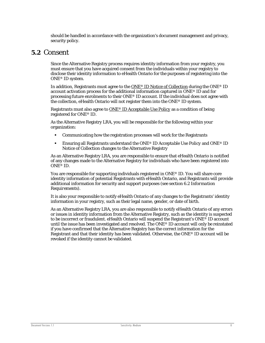should be handled in accordance with the organization's document management and privacy, security policy.

#### <span id="page-10-0"></span>**5.2** Consent

Since the Alternative Registry process requires identity information from your registry, you must ensure that you have acquired consent from the individuals within your registry to disclose their identity information to eHealth Ontario for the purposes of registering into the ONE® ID system.

In addition, Registrants must agree to the *ONE*® *[ID Notice of Collection](http://www.ehealthontario.on.ca/images/uploads/support/one-id/notice_of_collection.pdf)* during the ONE® ID account activation process for the additional information captured in ONE® ID and for processing future enrolments to their ONE® ID account. If the individual does not agree with the collection, eHealth Ontario will not register them into the ONE® ID system.

Registrants must also agree to *ONE*® *ID [Acceptable Use Policy](http://www.ehealthontario.on.ca/images/uploads/support/one-id/one_id_acceptable_use_policy.pdf)* as a condition of being registered for ONE® ID.

As the Alternative Registry LRA, you will be responsible for the following within your organization:

- Communicating how the registration processes will work for the Registrants
- Ensuring all Registrants understand the *ONE*® *ID Acceptable Use Policy* and *ONE*® *ID Notice of Collection* changes to the Alternative Registry

As an Alternative Registry LRA, you are responsible to ensure that eHealth Ontario is notified of any changes made to the Alternative Registry for individuals who have been registered into ONE® ID.

You are responsible for supporting individuals registered in ONE® ID. You will share core identity information of potential Registrants with eHealth Ontario, and Registrants will provide additional information for security and support purposes (see section *[6.2](#page-11-2) Information Requirements*).

It is also your responsible to notify eHealth Ontario of any changes to the Registrants' identity information in your registry, such as their legal name, gender, or date of birth.

As an Alternative Registry LRA, you are also responsible to notify eHealth Ontario of any errors or issues in identity information from the Alternative Registry, such as the identity is suspected to be incorrect or fraudulent. eHealth Ontario will suspend the Registrant's ONE® ID account until the issue has been investigated and resolved. The ONE® ID account will only be reinstated if you have confirmed that the Alternative Registry has the correct information for the Registrant and that their identity has been validated. Otherwise, the ONE® ID account will be revoked if the identity cannot be validated.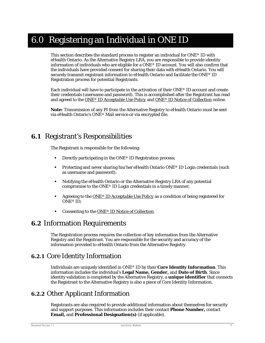## <span id="page-11-0"></span>6.0 Registering an Individual in ONE ID

This section describes the standard process to register an individual for ONE® ID with eHealth Ontario. As the Alternative Registry LRA, you are responsible to provide identity information of individuals who are eligible for a  $\overline{ONE}^{\otimes}$  ID account. You will also confirm that the individuals have provided consent for sharing their data with eHealth Ontario. You will securely transmit registrant information to eHealth Ontario and facilitate the ONE® ID Registration process for potential Registrants.

Each individual will have to participate in the activation of their ONE® ID account and create their credentials (username and password). This is accomplished after the Registrant has read and agreed to the *ONE*® *[ID Acceptable Use Policy](http://www.ehealthontario.on.ca/images/uploads/support/one-id/one_id_acceptable_use_policy.pdf)* and *ONE*® *[ID Notice of Collection](http://www.ehealthontario.on.ca/images/uploads/support/one-id/notice_of_collection.pdf)* online.

*Note:* Transmission of any PI from the Alternative Registry to eHealth Ontario must be sent via eHealth Ontario's ONE® Mail service or via encrypted file.

## <span id="page-11-1"></span>**6.1** Registrant's Responsibilities

The Registrant is responsible for the following:

- Directly participating in the ONE<sup>®</sup> ID Registration process;
- **Protecting and never sharing his/her eHealth Ontario ONE® ID Login credentials (such** as username and password);
- Notifying the eHealth Ontario or the Alternative Registry LRA of any potential compromise to the ONE® ID Login credentials in a timely manner;
- Agreeing to the *ONE*® *[ID Acceptable Use Policy](http://www.ehealthontario.on.ca/images/uploads/support/one-id/one_id_acceptable_use_policy.pdf)* as a condition of being registered for ONE® ID;
- Consenting to the *ONE*® *[ID Notice of Collection.](http://www.ehealthontario.on.ca/images/uploads/support/one-id/notice_of_collection.pdf)*

### <span id="page-11-2"></span>**6.2** Information Requirements

The Registration process requires the collection of key information from the Alternative Registry and the Registrant. You are responsible for the security and accuracy of the information provided to eHealth Ontario from the Alternative Registry.

#### <span id="page-11-3"></span>**6.2.1** Core Identity Information

Individuals are uniquely identified in ONE® ID by their **Core Identity Information**. This information includes the individual's **Legal Name, Gender,** and **Date of Birth**. Since identity validation is completed by the Alternative Registry, a **unique identifier** that connects the Registrant to the Alternative Registry is also a piece of Core Identity Information.

### <span id="page-11-4"></span>**6.2.2** Other Applicant Information

Registrants are also required to provide additional information about themselves for security and support purposes. This information includes their contact **Phone Number,** contact **Email,** and **Professional Designation(s)** (if applicable).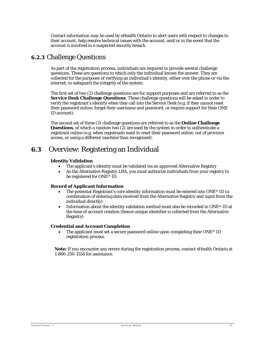Contact information may be used by eHealth Ontario to alert users with respect to changes to their account, help resolve technical issues with the account, and/or in the event that the account is involved in a suspected security breach.

#### <span id="page-12-0"></span>**6.2.3** Challenge Questions

As part of the registration process, individuals are required to provide several challenge questions. These are questions to which only the individual knows the answer. They are collected for the purposes of verifying an individual's identity, either over the phone or via the internet, to safeguard the integrity of the system.

The first set of two (2) challenge questions are for support purposes and are referred to as the **Service Desk Challenge Questions**. These challenge questions will be asked in order to verify the registrant's identity when they call into the Service Desk (e.g. if they cannot reset their password online, forget their username and password, or require support for their ONE ID account).

The second set of three (3) challenge questions are referred to as the **Online Challenge Questions**, of which a random two (2) are used by the system in order to authenticate a registrant online (e.g. when registrants want to reset their password online, out of province access, or using a different machine than recognized).

### <span id="page-12-1"></span>**6.3** Overview: Registering an Individual

#### **Identity Validation**

- The applicant's identity must be validated via an approved Alternative Registry
- As the Alternative Registry LRA, you must authorize individuals from your registry to be registered for ONE<sup>®</sup> ID.

#### **Record of Applicant Information**

- The potential Registrant's core identity information must be entered into ONE<sup>®</sup> ID (a combination of entering data received from the Alternative Registry and input from the individual directly)
- Information about the identity validation method must also be recorded in ONE® ID at the time of account creation (hence unique identifier is collected from the Alternative Registry)

#### **Credential and Account Completion**

The applicant must set a secure password online upon completing their  $ONE^{\circ}$  ID registration process.

*Note:* If you encounter any errors during the registration process, contact eHealth Ontario at 1-866-250-1554 for assistance.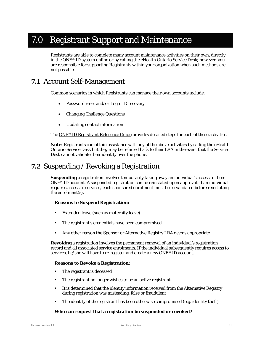## <span id="page-13-0"></span>7.0 Registrant Support and Maintenance

Registrants are able to complete many account maintenance activities on their own, directly in the ONE® ID system online or by calling the eHealth Ontario Service Desk; however, you are responsible for supporting Registrants within your organization when such methods are not possible.

### <span id="page-13-1"></span>**7.1** Account Self-Management

Common scenarios in which Registrants can manage their own accounts include:

- Password reset and/or Login ID recovery
- Changing Challenge Questions
- Updating contact information

The *ONE*® *[ID Registrant Reference Guide](https://www.ehealthontario.on.ca/images/uploads/support/one-id/one_id_registrant_reference_guide.pdf)* provides detailed steps for each of these activities.

**Note:** Registrants can obtain assistance with any of the above activities by calling the eHealth Ontario Service Desk but they may be referred back to their LRA in the event that the Service Desk cannot validate their identity over the phone.

### <span id="page-13-2"></span>**7.2** Suspending / Revoking a Registration

**Suspending** a registration involves temporarily taking away an individual's access to their ONE® ID account. A suspended registration can be reinstated upon approval. If an individual requires access to services, each sponsored enrolment must be re-validated before reinstating the enrolment(s).

#### **Reasons to Suspend Registration:**

- Extended leave (such as maternity leave)
- The registrant's credentials have been compromised
- **Any other reason the Sponsor or Alternative Registry LRA deems appropriate**

**Revoking** a registration involves the permanent removal of an individual's registration record and all associated service enrolments. If the individual subsequently requires access to services, he/she will have to re-register and create a new ONE® ID account.

#### **Reasons to Revoke a Registration:**

- **The registrant is deceased**
- The registrant no longer wishes to be an active registrant
- It is determined that the identity information received from the Alternative Registry during registration was misleading, false or fraudulent
- The identity of the registrant has been otherwise compromised (e.g. identity theft)

#### **Who can request that a registration be suspended or revoked?**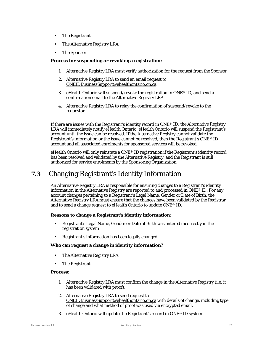- **The Registrant**
- **The Alternative Registry LRA**
- **The Sponsor**

#### **Process for suspending or revoking a registration:**

- 1. Alternative Registry LRA must verify authorization for the request from the Sponsor
- 2. Alternative Registry LRA to send an email request to [ONEIDBusinessSupport@ehealthontario.on.ca](mailto:ONEIDBusinessSupport@ehealthontario.on.ca)
- 3. eHealth Ontario will suspend/revoke the registration in ONE<sup>®</sup> ID, and send a confirmation email to the Alternative Registry LRA
- 4. Alternative Registry LRA to relay the confirmation of suspend/revoke to the requestor

If there are issues with the Registrant's identity record in ONE® ID, the Alternative Registry LRA will immediately notify eHealth Ontario. eHealth Ontario will suspend the Registrant's account until the issue can be resolved. If the Alternative Registry cannot validate the Registrant's information or the issue cannot be resolved, then the Registrant's ONE® ID account and all associated enrolments for sponsored services will be revoked.

eHealth Ontario will only reinstate a ONE® ID registration if the Registrant's identity record has been resolved and validated by the Alternative Registry, and the Registrant is still authorized for service enrolments by the Sponsoring Organization.

## <span id="page-14-0"></span>**7.3** Changing Registrant's Identity Information

An Alternative Registry LRA is responsible for ensuring changes to a Registrant's identity information in the Alternative Registry are reported to and processed in ONE® ID. For any account changes pertaining to a Registrant's Legal Name, Gender or Date of Birth, the Alternative Registry LRA must ensure that the changes have been validated by the Registrar and to send a change request to eHealth Ontario to update ONE® ID.

#### **Reasons to change a Registrant's identity information:**

- Registrant's Legal Name, Gender or Date of Birth was entered incorrectly in the registration system
- Registrant's information has been legally changed

#### **Who can request a change in identity information?**

- **The Alternative Registry LRA**
- **The Registrant**

#### **Process:**

- 1. Alternative Registry LRA must confirm the change in the Alternative Registry (i.e. it has been validated with proof).
- 2. Alternative Registry LRA to send request to [ONEIDBusinessSupport@ehealthontario.on.ca](mailto:ONEIDBusinessSupport@ehealthontario.on.ca) with details of change, including type of change and what method of proof was used via encrypted email.
- 3. eHealth Ontario will update the Registrant's record in ONE® ID system.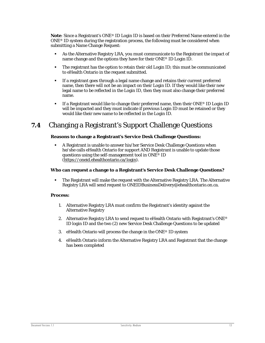*Note*: Since a Registrant's ONE® ID Login ID is based on their Preferred Name entered in the ONE® ID system during the registration process, the following must be considered when submitting a Name Change Request:

- As the Alternative Registry LRA, you must communicate to the Registrant the impact of name change and the options they have for their ONE® ID Login ID.
- The registrant has the option to retain their old Login ID; this must be communicated to eHealth Ontario in the request submitted.
- If a registrant goes through a legal name change and retains their current preferred name, then there will not be an impact on their Login ID. If they would like their new legal name to be reflected in the Login ID, then they must also change their preferred name.
- If a Registrant would like to change their preferred name, then their ONE<sup>®</sup> ID Login ID will be impacted and they must indicate if previous Login ID must be retained or they would like their new name to be reflected in the Login ID.

## <span id="page-15-0"></span>**7.4** Changing a Registrant's Support Challenge Questions

#### **Reasons to change a Registrant's Service Desk Challenge Questions:**

 A Registrant is unable to answer his/her Service Desk Challenge Questions when he/she calls eHealth Ontario for support AND Registrant is unable to update those questions using the self-management tool in ONE® ID [\(https://oneid.ehealthontario.ca/login\)](https://oneid.ehealthontario.ca/login).

#### **Who can request a change to a Registrant's Service Desk Challenge Questions?**

 The Registrant will make the request with the Alternative Registry LRA. The Alternative Registry LRA will send request to ONEIDBusinessDelivery@ehealthontario.on.ca.

#### **Process:**

- 1. Alternative Registry LRA must confirm the Registrant's identity against the Alternative Registry
- 2. Alternative Registry LRA to send request to eHealth Ontario with Registrant's ONE<sup>®</sup> ID login ID and the two (2) new Service Desk Challenge Questions to be updated
- 3. eHealth Ontario will process the change in the ONE® ID system
- 4. eHealth Ontario inform the Alternative Registry LRA and Registrant that the change has been completed